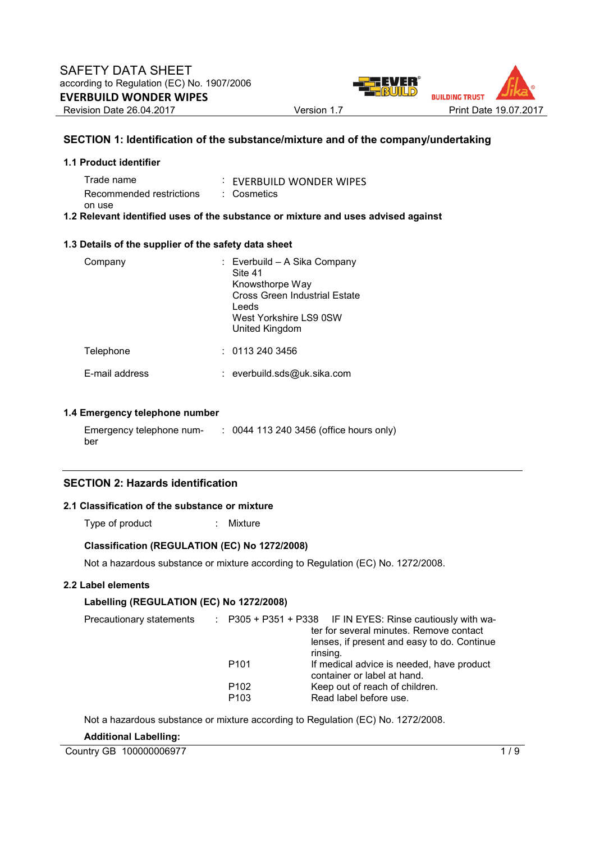

#### **SECTION 1: Identification of the substance/mixture and of the company/undertaking**

| 1.1 Product identifier      |                          |
|-----------------------------|--------------------------|
| Trade name                  | : EVERBUILD WONDER WIPES |
| Recommended restrictions    | : Cosmetics              |
| on use<br>_ _ _ _ _ _ _ _ _ |                          |

#### **1.2 Relevant identified uses of the substance or mixture and uses advised against**

#### **1.3 Details of the supplier of the safety data sheet**

| Company        | : Everbuild - A Sika Company<br>Site 41<br>Knowsthorpe Way<br>Cross Green Industrial Estate<br>Leeds<br>West Yorkshire LS9 0SW<br>United Kingdom |
|----------------|--------------------------------------------------------------------------------------------------------------------------------------------------|
| Telephone      | : 01132403456                                                                                                                                    |
| E-mail address | : everbuild.sds@uk.sika.com                                                                                                                      |

#### **1.4 Emergency telephone number**

Emergency telephone number : 0044 113 240 3456 (office hours only)

#### **SECTION 2: Hazards identification**

#### **2.1 Classification of the substance or mixture**

Type of product : Mixture

#### **Classification (REGULATION (EC) No 1272/2008)**

Not a hazardous substance or mixture according to Regulation (EC) No. 1272/2008.

#### **2.2 Label elements**

#### **Labelling (REGULATION (EC) No 1272/2008)**

|                                      | $\therefore$ P305 + P351 + P338 IF IN EYES: Rinse cautiously with wa-    |
|--------------------------------------|--------------------------------------------------------------------------|
|                                      | ter for several minutes. Remove contact                                  |
|                                      | lenses, if present and easy to do. Continue<br>rinsing.                  |
| P <sub>101</sub>                     | If medical advice is needed, have product<br>container or label at hand. |
| P <sub>102</sub><br>P <sub>103</sub> | Keep out of reach of children.<br>Read label before use.                 |
|                                      |                                                                          |

Not a hazardous substance or mixture according to Regulation (EC) No. 1272/2008.

#### **Additional Labelling:**

Country GB 100000006977 1/9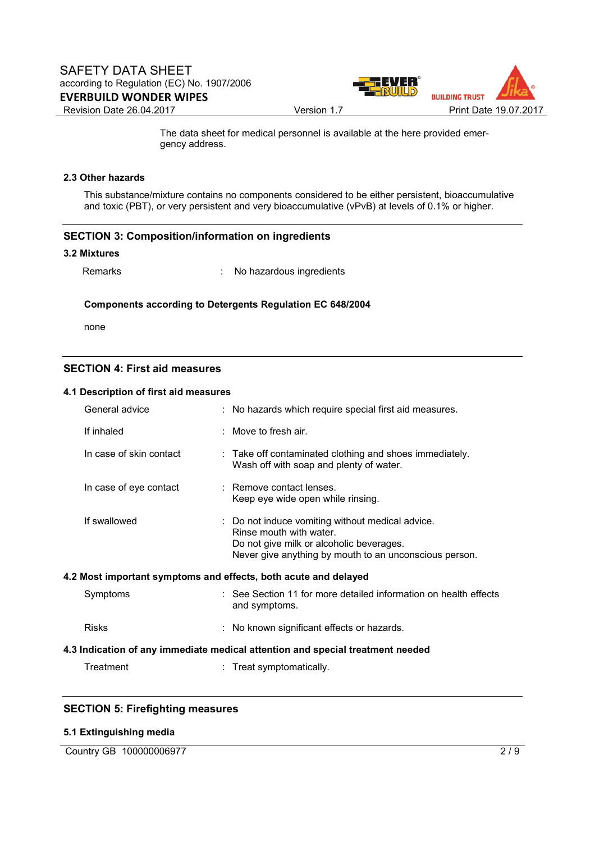

 The data sheet for medical personnel is available at the here provided emergency address.

#### **2.3 Other hazards**

This substance/mixture contains no components considered to be either persistent, bioaccumulative and toxic (PBT), or very persistent and very bioaccumulative (vPvB) at levels of 0.1% or higher.

#### **SECTION 3: Composition/information on ingredients**

#### **3.2 Mixtures**

Remarks : No hazardous ingredients

#### **Components according to Detergents Regulation EC 648/2004**

none

#### **SECTION 4: First aid measures**

#### **4.1 Description of first aid measures**

| General advice          | : No hazards which require special first aid measures.                                                                                                                            |
|-------------------------|-----------------------------------------------------------------------------------------------------------------------------------------------------------------------------------|
| If inhaled              | $\therefore$ Move to fresh air.                                                                                                                                                   |
| In case of skin contact | : Take off contaminated clothing and shoes immediately.<br>Wash off with soap and plenty of water.                                                                                |
| In case of eye contact  | : Remove contact lenses.<br>Keep eye wide open while rinsing.                                                                                                                     |
| If swallowed            | : Do not induce vomiting without medical advice.<br>Rinse mouth with water.<br>Do not give milk or alcoholic beverages.<br>Never give anything by mouth to an unconscious person. |
|                         | 4.2 Most important symptoms and effects, both acute and delayed                                                                                                                   |
| Symptoms                | : See Section 11 for more detailed information on health effects<br>and symptoms.                                                                                                 |
| <b>Risks</b>            | : No known significant effects or hazards.                                                                                                                                        |
|                         | 4.3 Indication of any immediate medical attention and special treatment needed                                                                                                    |
| Treatment               | : Treat symptomatically.                                                                                                                                                          |

#### **SECTION 5: Firefighting measures**

#### **5.1 Extinguishing media**

Country GB 100000006977 2/9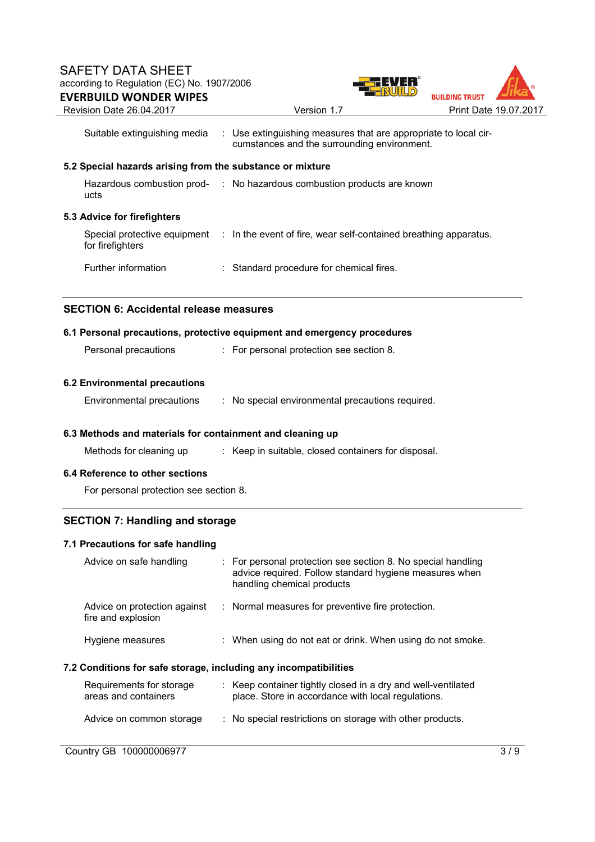

|                                                                  | Suitable extinguishing media : Use extinguishing measures that are appropriate to local cir-<br>cumstances and the surrounding environment.          |     |  |  |
|------------------------------------------------------------------|------------------------------------------------------------------------------------------------------------------------------------------------------|-----|--|--|
| 5.2 Special hazards arising from the substance or mixture        |                                                                                                                                                      |     |  |  |
| ucts                                                             | Hazardous combustion prod- : No hazardous combustion products are known                                                                              |     |  |  |
| 5.3 Advice for firefighters                                      |                                                                                                                                                      |     |  |  |
| for firefighters                                                 | Special protective equipment : In the event of fire, wear self-contained breathing apparatus.                                                        |     |  |  |
| Further information                                              | : Standard procedure for chemical fires.                                                                                                             |     |  |  |
| <b>SECTION 6: Accidental release measures</b>                    |                                                                                                                                                      |     |  |  |
|                                                                  | 6.1 Personal precautions, protective equipment and emergency procedures                                                                              |     |  |  |
| Personal precautions                                             | : For personal protection see section 8.                                                                                                             |     |  |  |
| <b>6.2 Environmental precautions</b>                             |                                                                                                                                                      |     |  |  |
| Environmental precautions                                        | : No special environmental precautions required.                                                                                                     |     |  |  |
| 6.3 Methods and materials for containment and cleaning up        |                                                                                                                                                      |     |  |  |
| Methods for cleaning up                                          | : Keep in suitable, closed containers for disposal.                                                                                                  |     |  |  |
| 6.4 Reference to other sections                                  |                                                                                                                                                      |     |  |  |
| For personal protection see section 8.                           |                                                                                                                                                      |     |  |  |
| <b>SECTION 7: Handling and storage</b>                           |                                                                                                                                                      |     |  |  |
| 7.1 Precautions for safe handling                                |                                                                                                                                                      |     |  |  |
| Advice on safe handling                                          | : For personal protection see section 8. No special handling<br>advice required. Follow standard hygiene measures when<br>handling chemical products |     |  |  |
| Advice on protection against<br>fire and explosion               | : Normal measures for preventive fire protection.                                                                                                    |     |  |  |
| Hygiene measures                                                 | : When using do not eat or drink. When using do not smoke.                                                                                           |     |  |  |
| 7.2 Conditions for safe storage, including any incompatibilities |                                                                                                                                                      |     |  |  |
| Requirements for storage<br>areas and containers                 | : Keep container tightly closed in a dry and well-ventilated<br>place. Store in accordance with local regulations.                                   |     |  |  |
| Advice on common storage                                         | : No special restrictions on storage with other products.                                                                                            |     |  |  |
| Country GB 100000006977                                          |                                                                                                                                                      | 3/9 |  |  |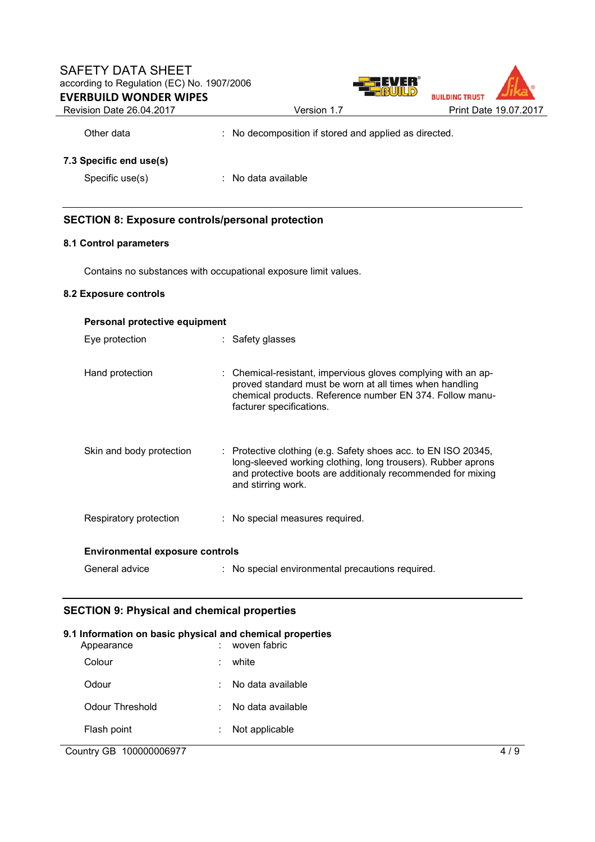### SAFETY DATA SHEET according to Regulation (EC) No. 1907/2006 **EVERBUILD WONDER WIPES**



Revision Date 26.04.2017 Version 1.7 Print Date 19.07.2017

Other data : No decomposition if stored and applied as directed.

#### **7.3 Specific end use(s)**

Specific use(s) : No data available

#### **SECTION 8: Exposure controls/personal protection**

#### **8.1 Control parameters**

Contains no substances with occupational exposure limit values.

#### **8.2 Exposure controls**

| Personal protective equipment          |  |                                                                                                                                                                                                                     |  |  |
|----------------------------------------|--|---------------------------------------------------------------------------------------------------------------------------------------------------------------------------------------------------------------------|--|--|
| Eye protection                         |  | : Safety glasses                                                                                                                                                                                                    |  |  |
| Hand protection                        |  | : Chemical-resistant, impervious gloves complying with an ap-<br>proved standard must be worn at all times when handling<br>chemical products. Reference number EN 374. Follow manu-<br>facturer specifications.    |  |  |
| Skin and body protection               |  | : Protective clothing (e.g. Safety shoes acc. to EN ISO 20345,<br>long-sleeved working clothing, long trousers). Rubber aprons<br>and protective boots are additionaly recommended for mixing<br>and stirring work. |  |  |
| Respiratory protection                 |  | : No special measures required.                                                                                                                                                                                     |  |  |
| <b>Environmental exposure controls</b> |  |                                                                                                                                                                                                                     |  |  |
| General advice                         |  | : No special environmental precautions required.                                                                                                                                                                    |  |  |

#### **SECTION 9: Physical and chemical properties**

# **9.1 Information on basic physical and chemical properties**  : woven fabric Colour : white Odour : No data available Odour Threshold : No data available Flash point : Not applicable

#### Country GB 100000006977 4 / 9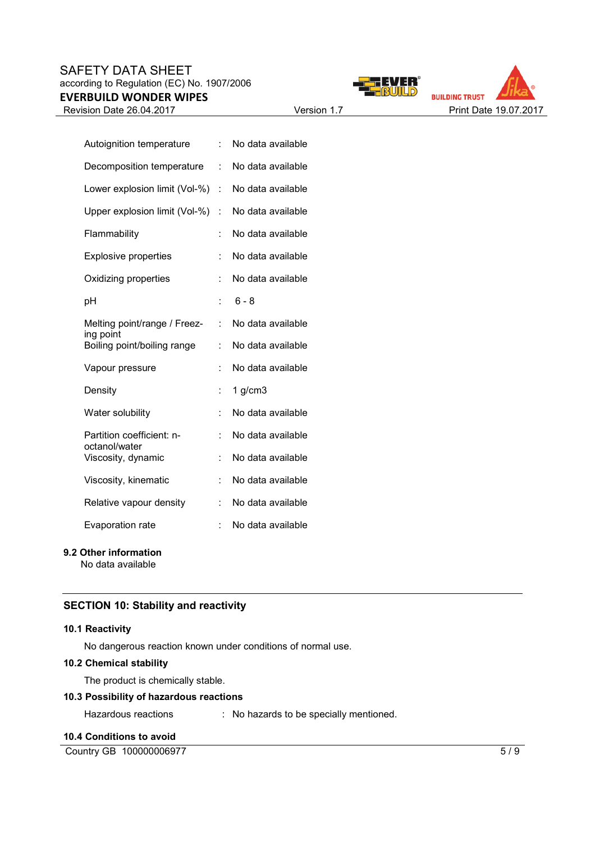#### SAFETY DATA SHEET according to Regulation (EC) No. 1907/2006 **EVERBUILD WONDER WIPES**





| Autoignition temperature                   | t  | No data available |
|--------------------------------------------|----|-------------------|
| Decomposition temperature                  | t. | No data available |
| Lower explosion limit (Vol-%)              | t. | No data available |
| Upper explosion limit (Vol-%)              | t  | No data available |
| Flammability                               | t  | No data available |
| <b>Explosive properties</b>                | t  | No data available |
| Oxidizing properties                       | t  | No data available |
| рH                                         | t  | $6 - 8$           |
| Melting point/range / Freez-<br>ing point  | t  | No data available |
| Boiling point/boiling range                | t  | No data available |
| Vapour pressure                            | t  | No data available |
| Density                                    | t  | $1$ g/cm $3$      |
| Water solubility                           | t  | No data available |
| Partition coefficient: n-<br>octanol/water | t  | No data available |
| Viscosity, dynamic                         | t  | No data available |
| Viscosity, kinematic                       | t  | No data available |
| Relative vapour density                    | t. | No data available |
| <b>Evaporation rate</b>                    | t  | No data available |

### **9.2 Other information**

No data available

#### **SECTION 10: Stability and reactivity**

#### **10.1 Reactivity**

No dangerous reaction known under conditions of normal use.

#### **10.2 Chemical stability**

The product is chemically stable.

#### **10.3 Possibility of hazardous reactions**

Hazardous reactions : No hazards to be specially mentioned.

#### **10.4 Conditions to avoid**

Country GB 100000006977 5/9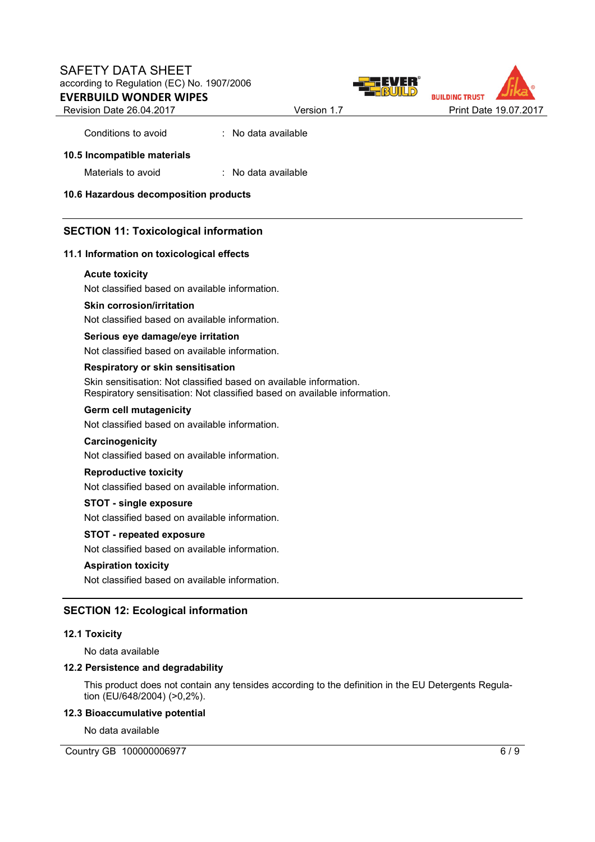#### SAFETY DATA SHEET according to Regulation (EC) No. 1907/2006 **EVERBUILD WONDER WIPES**





#### **10.5 Incompatible materials**

Materials to avoid : No data available

**10.6 Hazardous decomposition products** 

#### **SECTION 11: Toxicological information**

#### **11.1 Information on toxicological effects**

#### **Acute toxicity**

Not classified based on available information.

Conditions to avoid : No data available

#### **Skin corrosion/irritation**

Not classified based on available information.

#### **Serious eye damage/eye irritation**

Not classified based on available information.

#### **Respiratory or skin sensitisation**

Skin sensitisation: Not classified based on available information. Respiratory sensitisation: Not classified based on available information.

#### **Germ cell mutagenicity**

Not classified based on available information.

#### **Carcinogenicity**

Not classified based on available information.

#### **Reproductive toxicity**

Not classified based on available information.

#### **STOT - single exposure**

Not classified based on available information.

#### **STOT - repeated exposure**

Not classified based on available information.

#### **Aspiration toxicity**

Not classified based on available information.

#### **SECTION 12: Ecological information**

#### **12.1 Toxicity**

No data available

#### **12.2 Persistence and degradability**

This product does not contain any tensides according to the definition in the EU Detergents Regulation (EU/648/2004) (>0,2%).

#### **12.3 Bioaccumulative potential**

No data available

Country GB 100000006977 6/9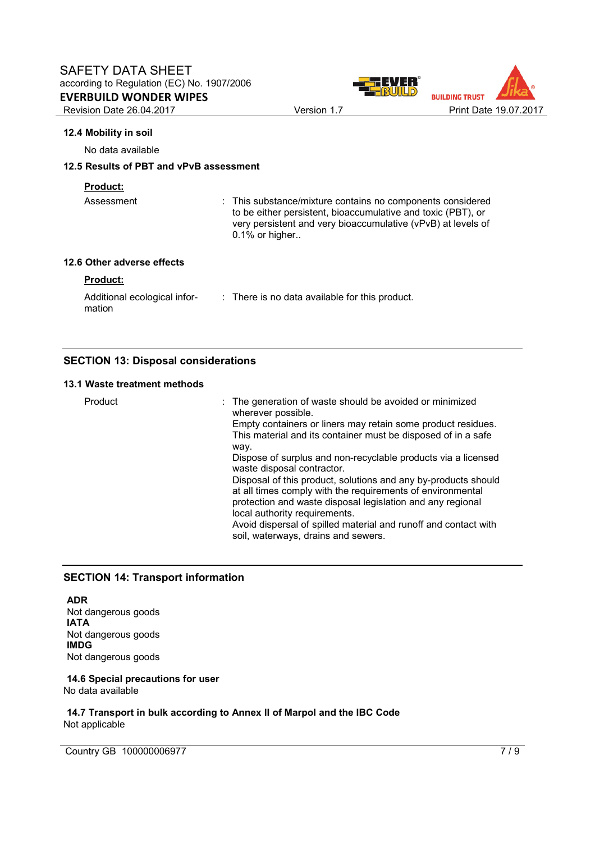

#### **12.4 Mobility in soil**

No data available

#### **12.5 Results of PBT and vPvB assessment**

#### **Product:**

Assessment : This substance/mixture contains no components considered to be either persistent, bioaccumulative and toxic (PBT), or very persistent and very bioaccumulative (vPvB) at levels of 0.1% or higher..

#### **12.6 Other adverse effects**

#### **Product:**

| Additional ecological infor- | : There is no data available for this product. |
|------------------------------|------------------------------------------------|
| mation                       |                                                |

#### **SECTION 13: Disposal considerations**

#### **13.1 Waste treatment methods**

| Product | : The generation of waste should be avoided or minimized<br>wherever possible.<br>Empty containers or liners may retain some product residues.<br>This material and its container must be disposed of in a safe<br>way.<br>Dispose of surplus and non-recyclable products via a licensed<br>waste disposal contractor.<br>Disposal of this product, solutions and any by-products should<br>at all times comply with the requirements of environmental<br>protection and waste disposal legislation and any regional |
|---------|----------------------------------------------------------------------------------------------------------------------------------------------------------------------------------------------------------------------------------------------------------------------------------------------------------------------------------------------------------------------------------------------------------------------------------------------------------------------------------------------------------------------|
|         | local authority requirements.<br>Avoid dispersal of spilled material and runoff and contact with<br>soil, waterways, drains and sewers.                                                                                                                                                                                                                                                                                                                                                                              |

#### **SECTION 14: Transport information**

**ADR** Not dangerous goods **IATA** Not dangerous goods **IMDG** Not dangerous goods

#### **14.6 Special precautions for user** No data available

**14.7 Transport in bulk according to Annex II of Marpol and the IBC Code** Not applicable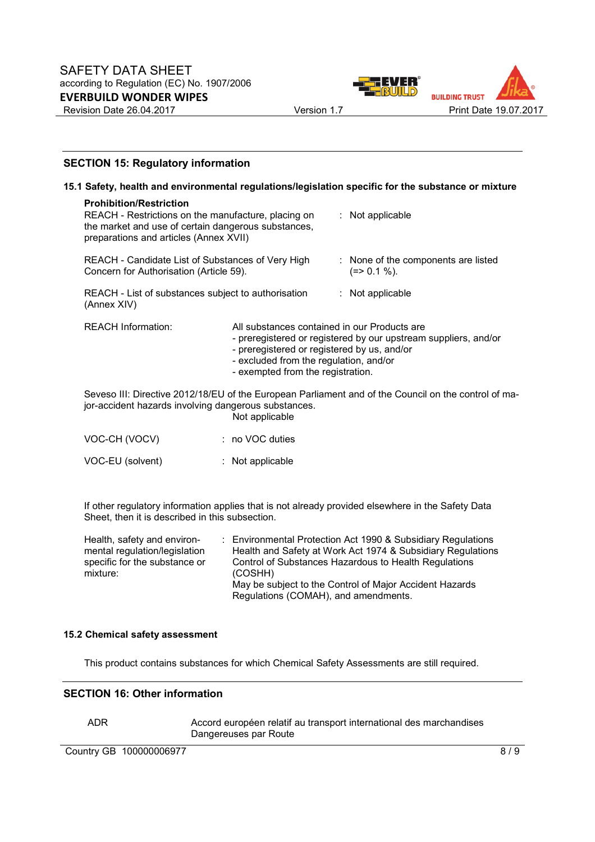



#### **SECTION 15: Regulatory information**

|                                                                                                                                                                                        |                                                                                                                                                                            | 15.1 Safety, health and environmental regulations/legislation specific for the substance or mixture  |
|----------------------------------------------------------------------------------------------------------------------------------------------------------------------------------------|----------------------------------------------------------------------------------------------------------------------------------------------------------------------------|------------------------------------------------------------------------------------------------------|
| <b>Prohibition/Restriction</b><br>REACH - Restrictions on the manufacture, placing on<br>the market and use of certain dangerous substances,<br>preparations and articles (Annex XVII) |                                                                                                                                                                            | : Not applicable                                                                                     |
| REACH - Candidate List of Substances of Very High<br>Concern for Authorisation (Article 59).                                                                                           |                                                                                                                                                                            | : None of the components are listed<br>$(=>0.1\%).$                                                  |
| REACH - List of substances subject to authorisation<br>(Annex XIV)                                                                                                                     |                                                                                                                                                                            | : Not applicable                                                                                     |
| <b>REACH Information:</b>                                                                                                                                                              | All substances contained in our Products are<br>- preregistered or registered by us, and/or<br>- excluded from the regulation, and/or<br>- exempted from the registration. | - preregistered or registered by our upstream suppliers, and/or                                      |
| jor-accident hazards involving dangerous substances.                                                                                                                                   | Not applicable                                                                                                                                                             | Seveso III: Directive 2012/18/EU of the European Parliament and of the Council on the control of ma- |
| VOC-CH (VOCV)                                                                                                                                                                          | : no VOC duties                                                                                                                                                            |                                                                                                      |

| VOC-EU (solvent) | : Not applicable |
|------------------|------------------|

If other regulatory information applies that is not already provided elsewhere in the Safety Data Sheet, then it is described in this subsection.

| Health, safety and environ-<br>mental regulation/legislation | : Environmental Protection Act 1990 & Subsidiary Regulations<br>Health and Safety at Work Act 1974 & Subsidiary Regulations |
|--------------------------------------------------------------|-----------------------------------------------------------------------------------------------------------------------------|
| specific for the substance or<br>mixture:                    | Control of Substances Hazardous to Health Regulations<br>(COSHH)                                                            |
|                                                              | May be subject to the Control of Major Accident Hazards                                                                     |
|                                                              | Regulations (COMAH), and amendments.                                                                                        |

#### **15.2 Chemical safety assessment**

This product contains substances for which Chemical Safety Assessments are still required.

#### **SECTION 16: Other information**

ADR Accord européen relatif au transport international des marchandises Dangereuses par Route

Country GB 100000006977 8/9